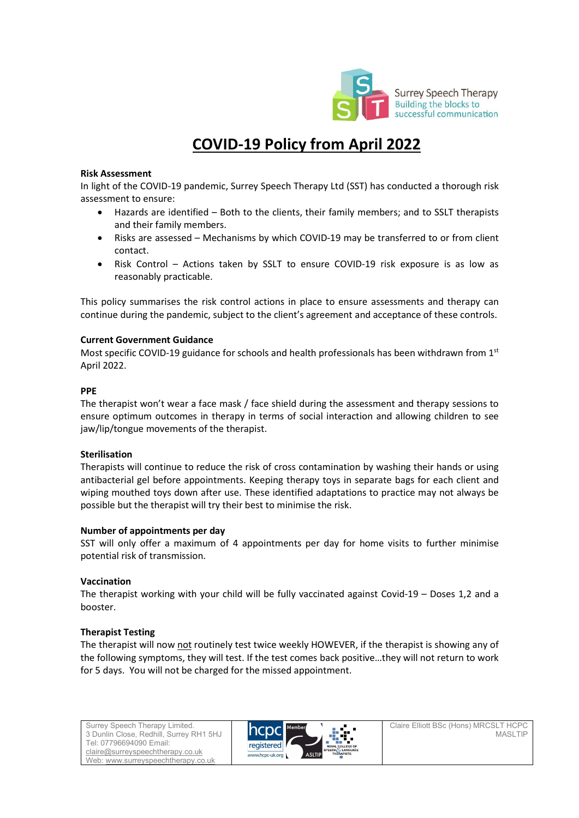

# COVID-19 Policy from April 2022

## Risk Assessment

In light of the COVID-19 pandemic, Surrey Speech Therapy Ltd (SST) has conducted a thorough risk assessment to ensure:

- Hazards are identified Both to the clients, their family members; and to SSLT therapists and their family members.
- Risks are assessed Mechanisms by which COVID-19 may be transferred to or from client contact.
- Risk Control Actions taken by SSLT to ensure COVID-19 risk exposure is as low as reasonably practicable.

This policy summarises the risk control actions in place to ensure assessments and therapy can continue during the pandemic, subject to the client's agreement and acceptance of these controls.

## Current Government Guidance

Most specific COVID-19 guidance for schools and health professionals has been withdrawn from  $1<sup>st</sup>$ April 2022.

## PPE

The therapist won't wear a face mask / face shield during the assessment and therapy sessions to ensure optimum outcomes in therapy in terms of social interaction and allowing children to see jaw/lip/tongue movements of the therapist.

#### Sterilisation

Therapists will continue to reduce the risk of cross contamination by washing their hands or using antibacterial gel before appointments. Keeping therapy toys in separate bags for each client and wiping mouthed toys down after use. These identified adaptations to practice may not always be possible but the therapist will try their best to minimise the risk.

# Number of appointments per day

SST will only offer a maximum of 4 appointments per day for home visits to further minimise potential risk of transmission.

# Vaccination

The therapist working with your child will be fully vaccinated against Covid-19 – Doses 1,2 and a booster.

# Therapist Testing

The therapist will now not routinely test twice weekly HOWEVER, if the therapist is showing any of the following symptoms, they will test. If the test comes back positive…they will not return to work for 5 days. You will not be charged for the missed appointment.